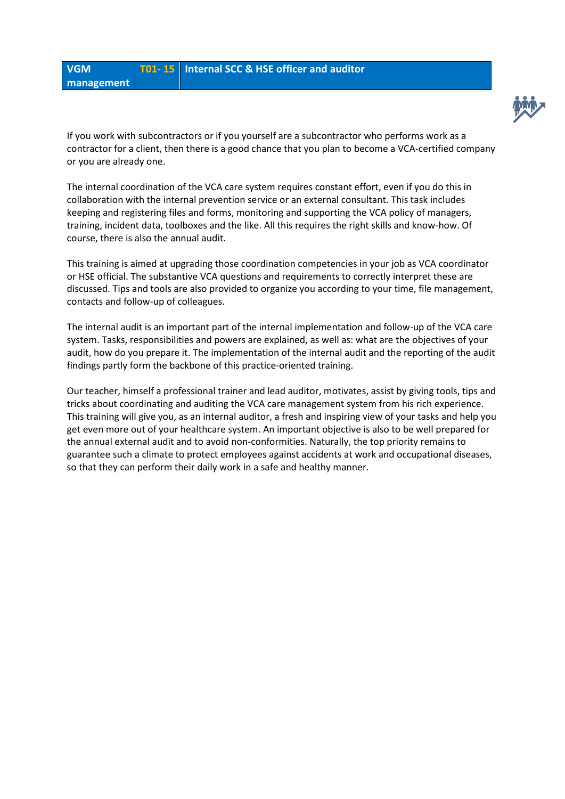



If you work with subcontractors or if you yourself are a subcontractor who performs work as a contractor for a client, then there is a good chance that you plan to become a VCA-certified company or you are already one.

The internal coordination of the VCA care system requires constant effort, even if you do this in collaboration with the internal prevention service or an external consultant. This task includes keeping and registering files and forms, monitoring and supporting the VCA policy of managers, training, incident data, toolboxes and the like. All this requires the right skills and know-how. Of course, there is also the annual audit.

This training is aimed at upgrading those coordination competencies in your job as VCA coordinator or HSE official. The substantive VCA questions and requirements to correctly interpret these are discussed. Tips and tools are also provided to organize you according to your time, file management, contacts and follow-up of colleagues.

The internal audit is an important part of the internal implementation and follow-up of the VCA care system. Tasks, responsibilities and powers are explained, as well as: what are the objectives of your audit, how do you prepare it. The implementation of the internal audit and the reporting of the audit findings partly form the backbone of this practice-oriented training.

Our teacher, himself a professional trainer and lead auditor, motivates, assist by giving tools, tips and tricks about coordinating and auditing the VCA care management system from his rich experience. This training will give you, as an internal auditor, a fresh and inspiring view of your tasks and help you get even more out of your healthcare system. An important objective is also to be well prepared for the annual external audit and to avoid non-conformities. Naturally, the top priority remains to guarantee such a climate to protect employees against accidents at work and occupational diseases, so that they can perform their daily work in a safe and healthy manner.